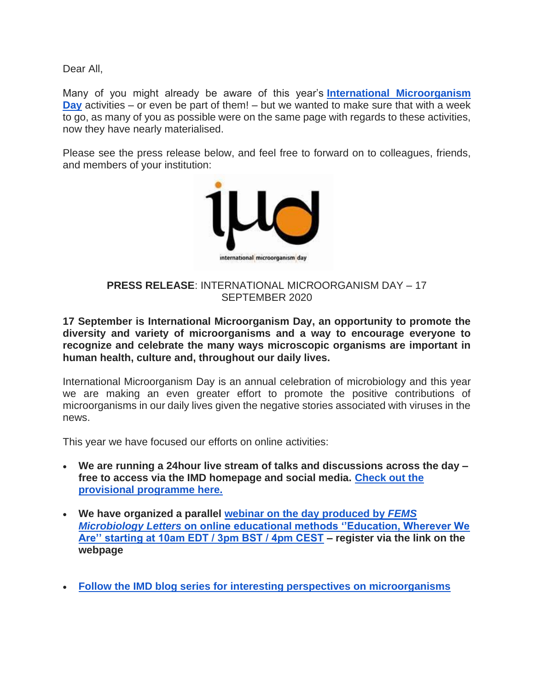Dear All,

Many of you might already be aware of this year's **[International Microorganism](https://www.internationalmicroorganismday.org/)  [Day](https://www.internationalmicroorganismday.org/)** activities – or even be part of them! – but we wanted to make sure that with a week to go, as many of you as possible were on the same page with regards to these activities, now they have nearly materialised.

Please see the press release below, and feel free to forward on to colleagues, friends, and members of your institution:



# **PRESS RELEASE**: INTERNATIONAL MICROORGANISM DAY – 17 SEPTEMBER 2020

**17 September is International Microorganism Day, an opportunity to promote the diversity and variety of microorganisms and a way to encourage everyone to recognize and celebrate the many ways microscopic organisms are important in human health, culture and, throughout our daily lives.**

International Microorganism Day is an annual celebration of microbiology and this year we are making an even greater effort to promote the positive contributions of microorganisms in our daily lives given the negative stories associated with viruses in the news.

This year we have focused our efforts on online activities:

- **We are running a 24hour live stream of talks and discussions across the day – free to access via the IMD homepage and social media. [Check out the](https://www.internationalmicroorganismday.org/programme)  [provisional programme here.](https://www.internationalmicroorganismday.org/programme)**
- **We have organized a parallel [webinar on the day produced by](https://fems-microbiology.org/opportunities/fems-microbiology-letters-webinar-education-whenever-we-are/)** *FEMS Microbiology Letters* **[on online educational methods ''Education, Wherever We](https://fems-microbiology.org/opportunities/fems-microbiology-letters-webinar-education-whenever-we-are/)  [Are'' starting at 10am EDT / 3pm BST / 4pm CEST](https://fems-microbiology.org/opportunities/fems-microbiology-letters-webinar-education-whenever-we-are/) – register via the link on the webpage**
- **[Follow the IMD blog series for interesting perspectives on microorganisms](https://www.internationalmicroorganismday.org/blog-1)**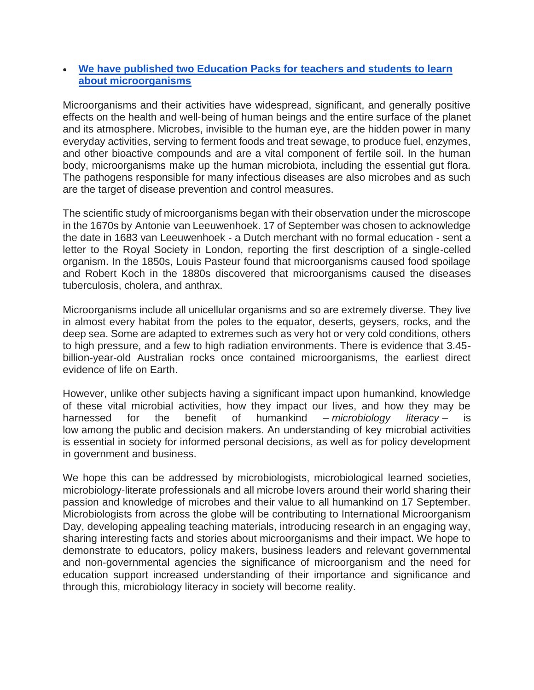## • **[We have published two Education Packs for](https://www.internationalmicroorganismday.org/education-resources) teachers and students to learn [about microorganisms](https://www.internationalmicroorganismday.org/education-resources)**

Microorganisms and their activities have widespread, significant, and generally positive effects on the health and well‐being of human beings and the entire surface of the planet and its atmosphere. Microbes, invisible to the human eye, are the hidden power in many everyday activities, serving to ferment foods and treat sewage, to produce fuel, enzymes, and other bioactive compounds and are a vital component of fertile soil. In the human body, microorganisms make up the human microbiota, including the essential gut flora. The pathogens responsible for many infectious diseases are also microbes and as such are the target of disease prevention and control measures.

The scientific study of microorganisms began with their observation under the microscope in the 1670s by Antonie van Leeuwenhoek. 17 of September was chosen to acknowledge the date in 1683 van Leeuwenhoek - a Dutch merchant with no formal education - sent a letter to the Royal Society in London, reporting the first description of a single-celled organism. In the 1850s, Louis Pasteur found that microorganisms caused food spoilage and Robert Koch in the 1880s discovered that microorganisms caused the diseases tuberculosis, cholera, and anthrax.

Microorganisms include all unicellular organisms and so are extremely diverse. They live in almost every habitat from the poles to the equator, deserts, geysers, rocks, and the deep sea. Some are adapted to extremes such as very hot or very cold conditions, others to high pressure, and a few to high radiation environments. There is evidence that 3.45 billion-year-old Australian rocks once contained microorganisms, the earliest direct evidence of life on Earth.

However, unlike other subjects having a significant impact upon humankind, knowledge of these vital microbial activities, how they impact our lives, and how they may be harnessed for the benefit of humankind *– microbiology literacy* – is low among the public and decision makers. An understanding of key microbial activities is essential in society for informed personal decisions, as well as for policy development in government and business.

We hope this can be addressed by microbiologists, microbiological learned societies, microbiology‐literate professionals and all microbe lovers around their world sharing their passion and knowledge of microbes and their value to all humankind on 17 September. Microbiologists from across the globe will be contributing to International Microorganism Day, developing appealing teaching materials, introducing research in an engaging way, sharing interesting facts and stories about microorganisms and their impact. We hope to demonstrate to educators, policy makers, business leaders and relevant governmental and non‐governmental agencies the significance of microorganism and the need for education support increased understanding of their importance and significance and through this, microbiology literacy in society will become reality.